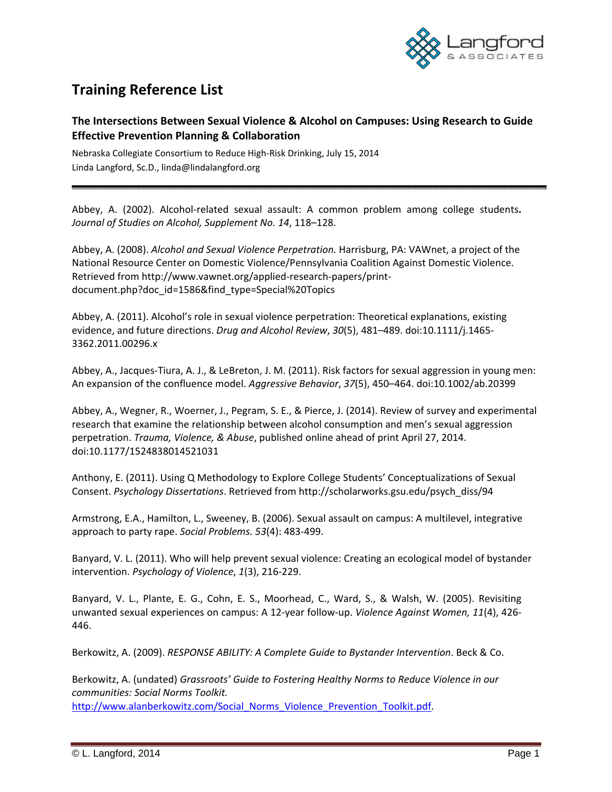

## **Training Reference List**

## **The Intersections Between Sexual Violence & Alcohol on Campuses: Using Research to Guide Effective Prevention Planning & Collaboration**

Nebraska Collegiate Consortium to Reduce High‐Risk Drinking, July 15, 2014 Linda Langford, Sc.D., linda@lindalangford.org

Abbey, A. (2002). Alcohol‐related sexual assault: A common problem among college students**.** *Journal of Studies on Alcohol, Supplement No. 14*, 118–128.

Abbey, A. (2008). *Alcohol and Sexual Violence Perpetration.* Harrisburg, PA: VAWnet, a project of the National Resource Center on Domestic Violence/Pennsylvania Coalition Against Domestic Violence. Retrieved from http://www.vawnet.org/applied‐research‐papers/print‐ document.php?doc\_id=1586&find\_type=Special%20Topics

Abbey, A. (2011). Alcohol's role in sexual violence perpetration: Theoretical explanations, existing evidence, and future directions. *Drug and Alcohol Review*, *30*(5), 481–489. doi:10.1111/j.1465‐ 3362.2011.00296.x

Abbey, A., Jacques‐Tiura, A. J., & LeBreton, J. M. (2011). Risk factors for sexual aggression in young men: An expansion of the confluence model. *Aggressive Behavior*, *37*(5), 450–464. doi:10.1002/ab.20399

Abbey, A., Wegner, R., Woerner, J., Pegram, S. E., & Pierce, J. (2014). Review of survey and experimental research that examine the relationship between alcohol consumption and men's sexual aggression perpetration. *Trauma, Violence, & Abuse*, published online ahead of print April 27, 2014. doi:10.1177/1524838014521031

Anthony, E. (2011). Using Q Methodology to Explore College Students' Conceptualizations of Sexual Consent. *Psychology Dissertations*. Retrieved from http://scholarworks.gsu.edu/psych\_diss/94

Armstrong, E.A., Hamilton, L., Sweeney, B. (2006). Sexual assault on campus: A multilevel, integrative approach to party rape. *Social Problems. 53*(4): 483‐499.

Banyard, V. L. (2011). Who will help prevent sexual violence: Creating an ecological model of bystander intervention. *Psychology of Violence*, *1*(3), 216‐229.

Banyard, V. L., Plante, E. G., Cohn, E. S., Moorhead, C., Ward, S., & Walsh, W. (2005). Revisiting unwanted sexual experiences on campus: A 12‐year follow‐up. *Violence Against Women, 11*(4), 426‐ 446.

Berkowitz, A. (2009). *RESPONSE ABILITY: A Complete Guide to Bystander Intervention*. Beck & Co.

Berkowitz, A. (undated) *Grassroots' Guide to Fostering Healthy Norms to Reduce Violence in our communities: Social Norms Toolkit.* http://www.alanberkowitz.com/Social\_Norms\_Violence\_Prevention\_Toolkit.pdf.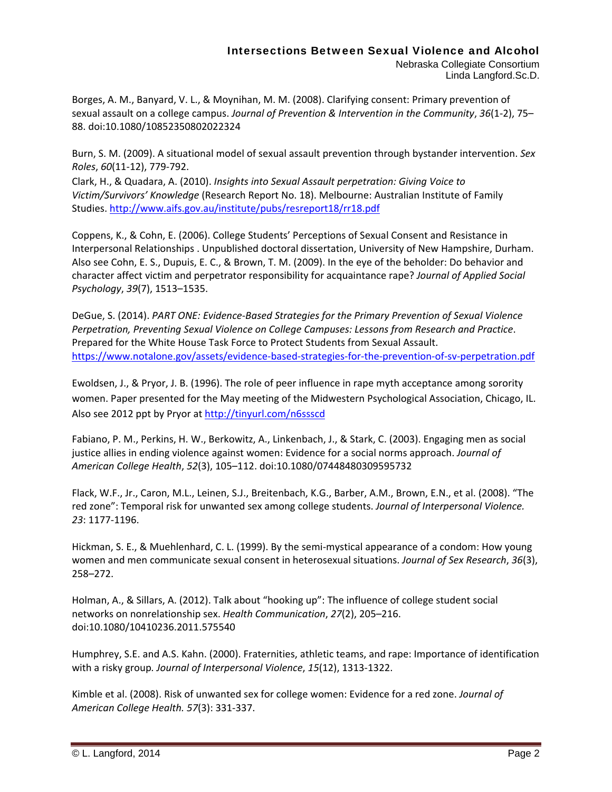## Intersections Between Sexual Violence and Alcohol

Nebraska Collegiate Consortium Linda Langford.Sc.D.

Borges, A. M., Banyard, V. L., & Moynihan, M. M. (2008). Clarifying consent: Primary prevention of sexual assault on a college campus. *Journal of Prevention & Intervention in the Community*, *36*(1‐2), 75– 88. doi:10.1080/10852350802022324

Burn, S. M. (2009). A situational model of sexual assault prevention through bystander intervention. *Sex Roles*, *60*(11‐12), 779‐792.

Clark, H., & Quadara, A. (2010). *Insights into Sexual Assault perpetration: Giving Voice to Victim/Survivors' Knowledge* (Research Report No. 18). Melbourne: Australian Institute of Family Studies. http://www.aifs.gov.au/institute/pubs/resreport18/rr18.pdf

Coppens, K., & Cohn, E. (2006). College Students' Perceptions of Sexual Consent and Resistance in Interpersonal Relationships . Unpublished doctoral dissertation, University of New Hampshire, Durham. Also see Cohn, E. S., Dupuis, E. C., & Brown, T. M. (2009). In the eye of the beholder: Do behavior and character affect victim and perpetrator responsibility for acquaintance rape? *Journal of Applied Social Psychology*, *39*(7), 1513–1535.

DeGue, S. (2014). *PART ONE: Evidence‐Based Strategies for the Primary Prevention of Sexual Violence Perpetration, Preventing Sexual Violence on College Campuses: Lessons from Research and Practice*. Prepared for the White House Task Force to Protect Students from Sexual Assault. https://www.notalone.gov/assets/evidence-based-strategies-for-the-prevention-of-sv-perpetration.pdf

Ewoldsen, J., & Pryor, J. B. (1996). The role of peer influence in rape myth acceptance among sorority women. Paper presented for the May meeting of the Midwestern Psychological Association, Chicago, IL. Also see 2012 ppt by Pryor at http://tinyurl.com/n6ssscd

Fabiano, P. M., Perkins, H. W., Berkowitz, A., Linkenbach, J., & Stark, C. (2003). Engaging men as social justice allies in ending violence against women: Evidence for a social norms approach. *Journal of American College Health*, *52*(3), 105–112. doi:10.1080/07448480309595732

Flack, W.F., Jr., Caron, M.L., Leinen, S.J., Breitenbach, K.G., Barber, A.M., Brown, E.N., et al. (2008). "The red zone": Temporal risk for unwanted sex among college students. *Journal of Interpersonal Violence. 23*: 1177‐1196.

Hickman, S. E., & Muehlenhard, C. L. (1999). By the semi‐mystical appearance of a condom: How young women and men communicate sexual consent in heterosexual situations. *Journal of Sex Research*, *36*(3), 258–272.

Holman, A., & Sillars, A. (2012). Talk about "hooking up": The influence of college student social networks on nonrelationship sex. *Health Communication*, *27*(2), 205–216. doi:10.1080/10410236.2011.575540

Humphrey, S.E. and A.S. Kahn. (2000). Fraternities, athletic teams, and rape: Importance of identification with a risky group*. Journal of Interpersonal Violence*, *15*(12), 1313‐1322.

Kimble et al. (2008). Risk of unwanted sex for college women: Evidence for a red zone. *Journal of American College Health. 57*(3): 331‐337.